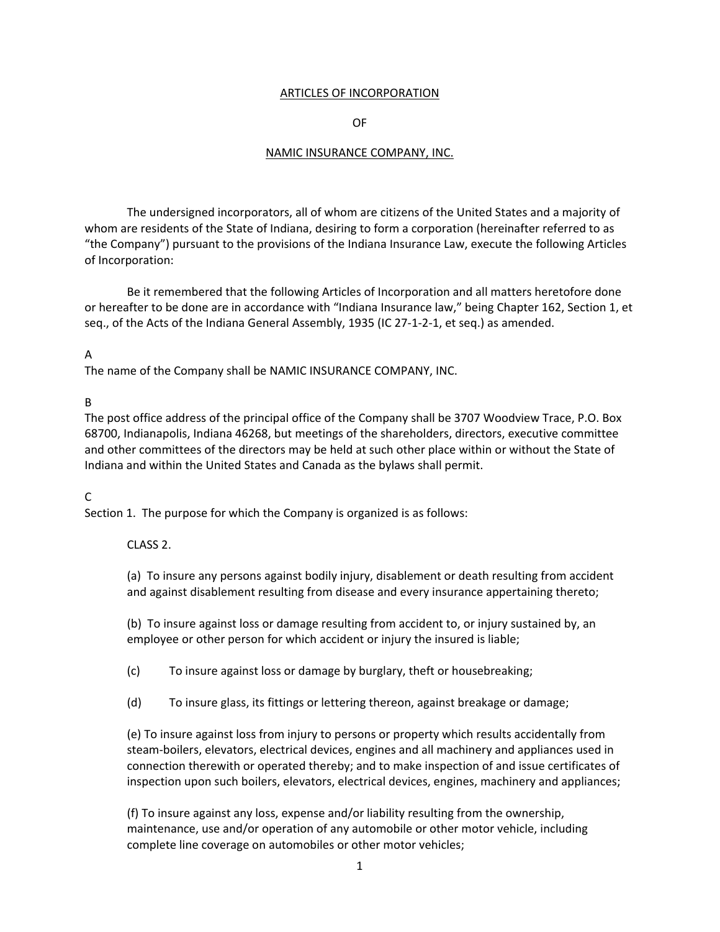### ARTICLES OF INCORPORATION

#### OF

#### NAMIC INSURANCE COMPANY, INC.

The undersigned incorporators, all of whom are citizens of the United States and a majority of whom are residents of the State of Indiana, desiring to form a corporation (hereinafter referred to as "the Company") pursuant to the provisions of the Indiana Insurance Law, execute the following Articles of Incorporation:

Be it remembered that the following Articles of Incorporation and all matters heretofore done or hereafter to be done are in accordance with "Indiana Insurance law," being Chapter 162, Section 1, et seq., of the Acts of the Indiana General Assembly, 1935 (IC 27-1-2-1, et seq.) as amended.

### A

The name of the Company shall be NAMIC INSURANCE COMPANY, INC.

### B

The post office address of the principal office of the Company shall be 3707 Woodview Trace, P.O. Box 68700, Indianapolis, Indiana 46268, but meetings of the shareholders, directors, executive committee and other committees of the directors may be held at such other place within or without the State of Indiana and within the United States and Canada as the bylaws shall permit.

## C

Section 1. The purpose for which the Company is organized is as follows:

## CLASS 2.

(a) To insure any persons against bodily injury, disablement or death resulting from accident and against disablement resulting from disease and every insurance appertaining thereto;

(b) To insure against loss or damage resulting from accident to, or injury sustained by, an employee or other person for which accident or injury the insured is liable;

(c) To insure against loss or damage by burglary, theft or housebreaking;

(d) To insure glass, its fittings or lettering thereon, against breakage or damage;

(e) To insure against loss from injury to persons or property which results accidentally from steam‐boilers, elevators, electrical devices, engines and all machinery and appliances used in connection therewith or operated thereby; and to make inspection of and issue certificates of inspection upon such boilers, elevators, electrical devices, engines, machinery and appliances;

(f) To insure against any loss, expense and/or liability resulting from the ownership, maintenance, use and/or operation of any automobile or other motor vehicle, including complete line coverage on automobiles or other motor vehicles;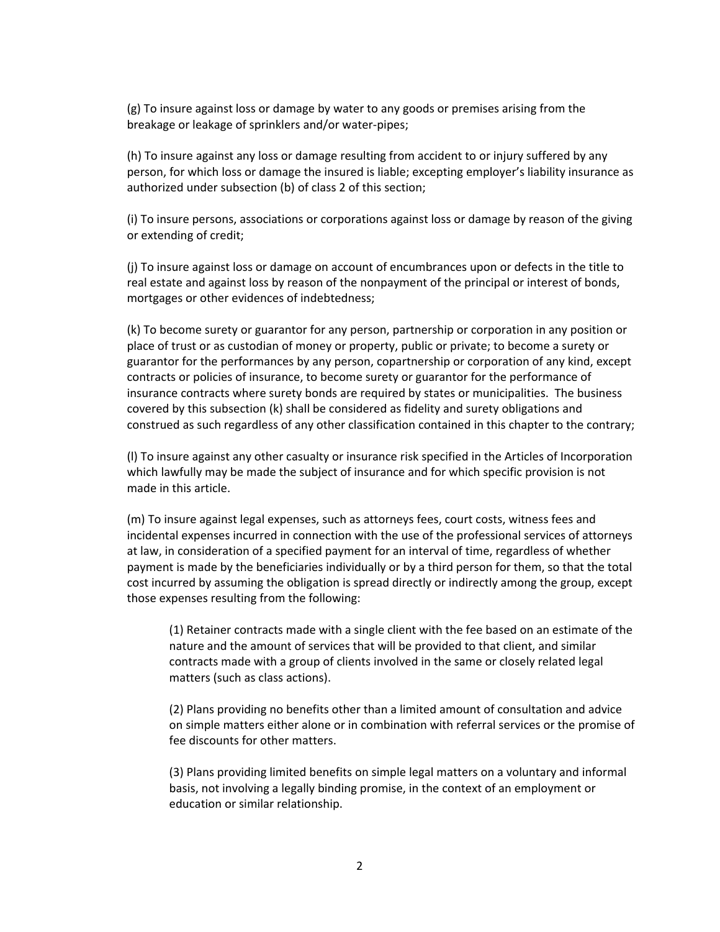(g) To insure against loss or damage by water to any goods or premises arising from the breakage or leakage of sprinklers and/or water‐pipes;

(h) To insure against any loss or damage resulting from accident to or injury suffered by any person, for which loss or damage the insured is liable; excepting employer's liability insurance as authorized under subsection (b) of class 2 of this section;

(i) To insure persons, associations or corporations against loss or damage by reason of the giving or extending of credit;

(j) To insure against loss or damage on account of encumbrances upon or defects in the title to real estate and against loss by reason of the nonpayment of the principal or interest of bonds, mortgages or other evidences of indebtedness;

(k) To become surety or guarantor for any person, partnership or corporation in any position or place of trust or as custodian of money or property, public or private; to become a surety or guarantor for the performances by any person, copartnership or corporation of any kind, except contracts or policies of insurance, to become surety or guarantor for the performance of insurance contracts where surety bonds are required by states or municipalities. The business covered by this subsection (k) shall be considered as fidelity and surety obligations and construed as such regardless of any other classification contained in this chapter to the contrary;

(l) To insure against any other casualty or insurance risk specified in the Articles of Incorporation which lawfully may be made the subject of insurance and for which specific provision is not made in this article.

(m) To insure against legal expenses, such as attorneys fees, court costs, witness fees and incidental expenses incurred in connection with the use of the professional services of attorneys at law, in consideration of a specified payment for an interval of time, regardless of whether payment is made by the beneficiaries individually or by a third person for them, so that the total cost incurred by assuming the obligation is spread directly or indirectly among the group, except those expenses resulting from the following:

(1) Retainer contracts made with a single client with the fee based on an estimate of the nature and the amount of services that will be provided to that client, and similar contracts made with a group of clients involved in the same or closely related legal matters (such as class actions).

(2) Plans providing no benefits other than a limited amount of consultation and advice on simple matters either alone or in combination with referral services or the promise of fee discounts for other matters.

(3) Plans providing limited benefits on simple legal matters on a voluntary and informal basis, not involving a legally binding promise, in the context of an employment or education or similar relationship.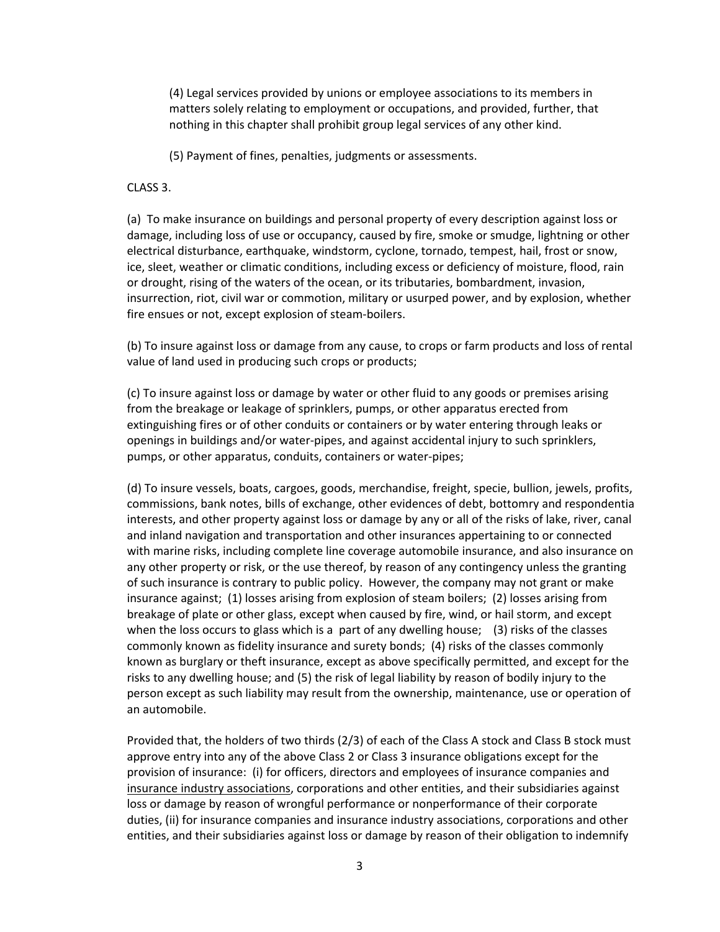(4) Legal services provided by unions or employee associations to its members in matters solely relating to employment or occupations, and provided, further, that nothing in this chapter shall prohibit group legal services of any other kind.

(5) Payment of fines, penalties, judgments or assessments.

CLASS 3.

(a) To make insurance on buildings and personal property of every description against loss or damage, including loss of use or occupancy, caused by fire, smoke or smudge, lightning or other electrical disturbance, earthquake, windstorm, cyclone, tornado, tempest, hail, frost or snow, ice, sleet, weather or climatic conditions, including excess or deficiency of moisture, flood, rain or drought, rising of the waters of the ocean, or its tributaries, bombardment, invasion, insurrection, riot, civil war or commotion, military or usurped power, and by explosion, whether fire ensues or not, except explosion of steam‐boilers.

(b) To insure against loss or damage from any cause, to crops or farm products and loss of rental value of land used in producing such crops or products;

(c) To insure against loss or damage by water or other fluid to any goods or premises arising from the breakage or leakage of sprinklers, pumps, or other apparatus erected from extinguishing fires or of other conduits or containers or by water entering through leaks or openings in buildings and/or water‐pipes, and against accidental injury to such sprinklers, pumps, or other apparatus, conduits, containers or water‐pipes;

(d) To insure vessels, boats, cargoes, goods, merchandise, freight, specie, bullion, jewels, profits, commissions, bank notes, bills of exchange, other evidences of debt, bottomry and respondentia interests, and other property against loss or damage by any or all of the risks of lake, river, canal and inland navigation and transportation and other insurances appertaining to or connected with marine risks, including complete line coverage automobile insurance, and also insurance on any other property or risk, or the use thereof, by reason of any contingency unless the granting of such insurance is contrary to public policy. However, the company may not grant or make insurance against; (1) losses arising from explosion of steam boilers; (2) losses arising from breakage of plate or other glass, except when caused by fire, wind, or hail storm, and except when the loss occurs to glass which is a part of any dwelling house; (3) risks of the classes commonly known as fidelity insurance and surety bonds; (4) risks of the classes commonly known as burglary or theft insurance, except as above specifically permitted, and except for the risks to any dwelling house; and (5) the risk of legal liability by reason of bodily injury to the person except as such liability may result from the ownership, maintenance, use or operation of an automobile.

Provided that, the holders of two thirds (2/3) of each of the Class A stock and Class B stock must approve entry into any of the above Class 2 or Class 3 insurance obligations except for the provision of insurance: (i) for officers, directors and employees of insurance companies and insurance industry associations, corporations and other entities, and their subsidiaries against loss or damage by reason of wrongful performance or nonperformance of their corporate duties, (ii) for insurance companies and insurance industry associations, corporations and other entities, and their subsidiaries against loss or damage by reason of their obligation to indemnify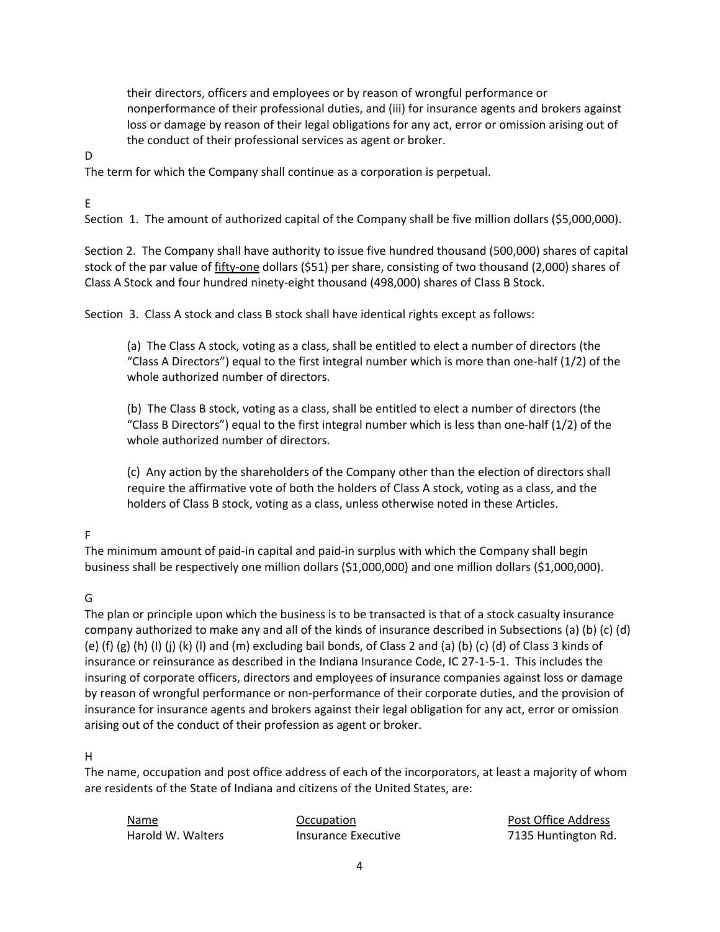their directors, officers and employees or by reason of wrongful performance or nonperformance of their professional duties, and (iii) for insurance agents and brokers against loss or damage by reason of their legal obligations for any act, error or omission arising out of the conduct of their professional services as agent or broker.

D

The term for which the Company shall continue as a corporation is perpetual.

E

Section 1. The amount of authorized capital of the Company shall be five million dollars (\$5,000,000).

Section 2. The Company shall have authority to issue five hundred thousand (500,000) shares of capital stock of the par value of fifty‐one dollars (\$51) per share, consisting of two thousand (2,000) shares of Class A Stock and four hundred ninety‐eight thousand (498,000) shares of Class B Stock.

Section 3. Class A stock and class B stock shall have identical rights except as follows:

(a) The Class A stock, voting as a class, shall be entitled to elect a number of directors (the "Class A Directors") equal to the first integral number which is more than one-half  $(1/2)$  of the whole authorized number of directors.

(b) The Class B stock, voting as a class, shall be entitled to elect a number of directors (the "Class B Directors") equal to the first integral number which is less than one-half  $(1/2)$  of the whole authorized number of directors.

(c) Any action by the shareholders of the Company other than the election of directors shall require the affirmative vote of both the holders of Class A stock, voting as a class, and the holders of Class B stock, voting as a class, unless otherwise noted in these Articles.

# F

The minimum amount of paid‐in capital and paid‐in surplus with which the Company shall begin business shall be respectively one million dollars (\$1,000,000) and one million dollars (\$1,000,000).

# G

The plan or principle upon which the business is to be transacted is that of a stock casualty insurance company authorized to make any and all of the kinds of insurance described in Subsections (a) (b) (c) (d) (e) (f) (g) (h) (I) (j) (k) (l) and (m) excluding bail bonds, of Class 2 and (a) (b) (c) (d) of Class 3 kinds of insurance or reinsurance as described in the Indiana Insurance Code, IC 27‐1‐5‐1. This includes the insuring of corporate officers, directors and employees of insurance companies against loss or damage by reason of wrongful performance or non‐performance of their corporate duties, and the provision of insurance for insurance agents and brokers against their legal obligation for any act, error or omission arising out of the conduct of their profession as agent or broker.

# H

The name, occupation and post office address of each of the incorporators, at least a majority of whom are residents of the State of Indiana and citizens of the United States, are:

Name Occupation Post Office Address

Harold W. Walters *Insurance Executive*  **12135 Huntington Rd.**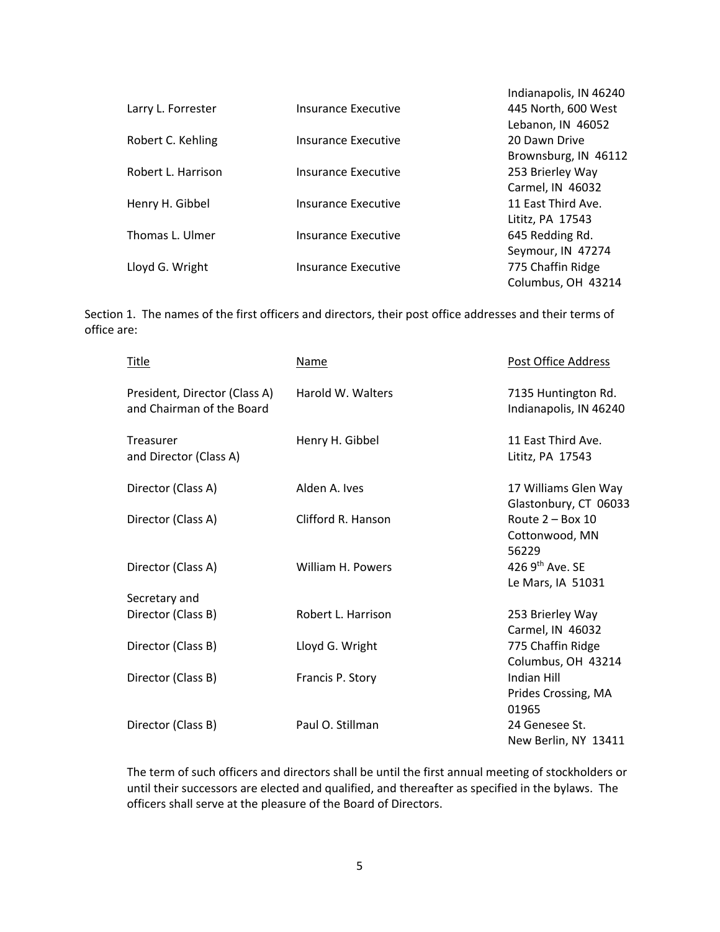|                    |                     | Indianapolis, IN 46240 |
|--------------------|---------------------|------------------------|
| Larry L. Forrester | Insurance Executive | 445 North, 600 West    |
|                    |                     | Lebanon, IN 46052      |
| Robert C. Kehling  | Insurance Executive | 20 Dawn Drive          |
|                    |                     | Brownsburg, IN 46112   |
| Robert L. Harrison | Insurance Executive | 253 Brierley Way       |
|                    |                     | Carmel, IN 46032       |
| Henry H. Gibbel    | Insurance Executive | 11 East Third Ave.     |
|                    |                     | Lititz, PA 17543       |
| Thomas L. Ulmer    | Insurance Executive | 645 Redding Rd.        |
|                    |                     | Seymour, IN 47274      |
| Lloyd G. Wright    | Insurance Executive | 775 Chaffin Ridge      |
|                    |                     | Columbus, OH 43214     |

Section 1. The names of the first officers and directors, their post office addresses and their terms of office are:

| <b>Title</b>       |                                                            | <b>Name</b>        | Post Office Address                                |
|--------------------|------------------------------------------------------------|--------------------|----------------------------------------------------|
|                    | President, Director (Class A)<br>and Chairman of the Board | Harold W. Walters  | 7135 Huntington Rd.<br>Indianapolis, IN 46240      |
| Treasurer          | and Director (Class A)                                     | Henry H. Gibbel    | 11 East Third Ave.<br>Lititz, PA 17543             |
| Director (Class A) |                                                            | Alden A. Ives      | 17 Williams Glen Way<br>Glastonbury, CT 06033      |
| Director (Class A) |                                                            | Clifford R. Hanson | Route $2 - Box 10$<br>Cottonwood, MN<br>56229      |
| Director (Class A) |                                                            | William H. Powers  | 426 $9th$ Ave. SE<br>Le Mars, IA 51031             |
| Secretary and      |                                                            |                    |                                                    |
| Director (Class B) |                                                            | Robert L. Harrison | 253 Brierley Way<br>Carmel, IN 46032               |
| Director (Class B) |                                                            | Lloyd G. Wright    | 775 Chaffin Ridge<br>Columbus, OH 43214            |
| Director (Class B) |                                                            | Francis P. Story   | <b>Indian Hill</b><br>Prides Crossing, MA<br>01965 |
| Director (Class B) |                                                            | Paul O. Stillman   | 24 Genesee St.<br>New Berlin, NY 13411             |

The term of such officers and directors shall be until the first annual meeting of stockholders or until their successors are elected and qualified, and thereafter as specified in the bylaws. The officers shall serve at the pleasure of the Board of Directors.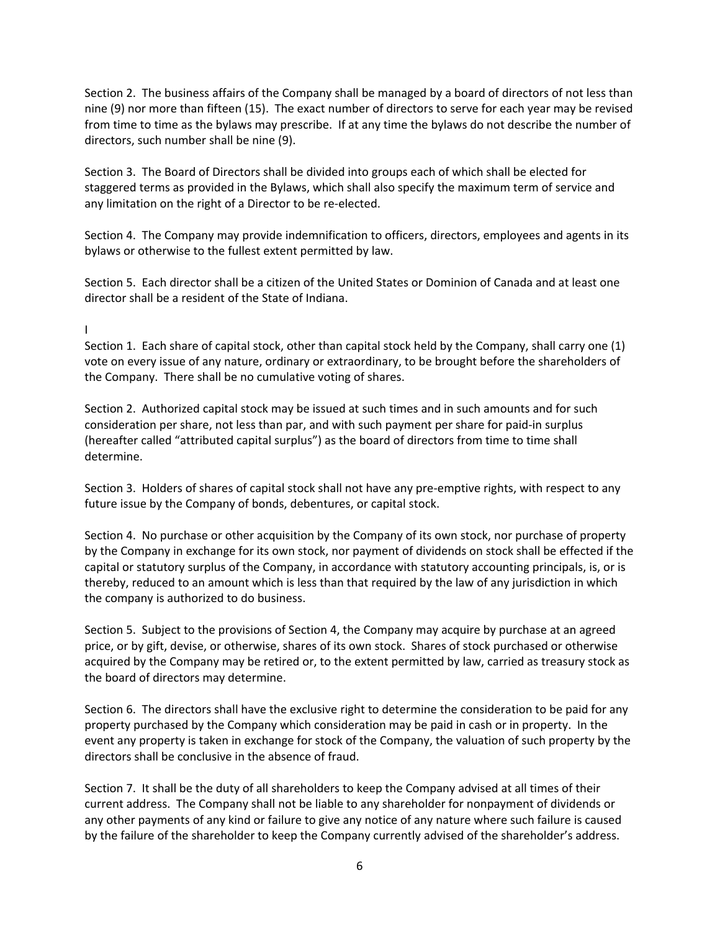Section 2. The business affairs of the Company shall be managed by a board of directors of not less than nine (9) nor more than fifteen (15). The exact number of directors to serve for each year may be revised from time to time as the bylaws may prescribe. If at any time the bylaws do not describe the number of directors, such number shall be nine (9).

Section 3. The Board of Directors shall be divided into groups each of which shall be elected for staggered terms as provided in the Bylaws, which shall also specify the maximum term of service and any limitation on the right of a Director to be re-elected.

Section 4. The Company may provide indemnification to officers, directors, employees and agents in its bylaws or otherwise to the fullest extent permitted by law.

Section 5. Each director shall be a citizen of the United States or Dominion of Canada and at least one director shall be a resident of the State of Indiana.

## $\mathbf{I}$

Section 1. Each share of capital stock, other than capital stock held by the Company, shall carry one (1) vote on every issue of any nature, ordinary or extraordinary, to be brought before the shareholders of the Company. There shall be no cumulative voting of shares.

Section 2. Authorized capital stock may be issued at such times and in such amounts and for such consideration per share, not less than par, and with such payment per share for paid‐in surplus (hereafter called "attributed capital surplus") as the board of directors from time to time shall determine.

Section 3. Holders of shares of capital stock shall not have any pre‐emptive rights, with respect to any future issue by the Company of bonds, debentures, or capital stock.

Section 4. No purchase or other acquisition by the Company of its own stock, nor purchase of property by the Company in exchange for its own stock, nor payment of dividends on stock shall be effected if the capital or statutory surplus of the Company, in accordance with statutory accounting principals, is, or is thereby, reduced to an amount which is less than that required by the law of any jurisdiction in which the company is authorized to do business.

Section 5. Subject to the provisions of Section 4, the Company may acquire by purchase at an agreed price, or by gift, devise, or otherwise, shares of its own stock. Shares of stock purchased or otherwise acquired by the Company may be retired or, to the extent permitted by law, carried as treasury stock as the board of directors may determine.

Section 6. The directors shall have the exclusive right to determine the consideration to be paid for any property purchased by the Company which consideration may be paid in cash or in property. In the event any property is taken in exchange for stock of the Company, the valuation of such property by the directors shall be conclusive in the absence of fraud.

Section 7. It shall be the duty of all shareholders to keep the Company advised at all times of their current address. The Company shall not be liable to any shareholder for nonpayment of dividends or any other payments of any kind or failure to give any notice of any nature where such failure is caused by the failure of the shareholder to keep the Company currently advised of the shareholder's address.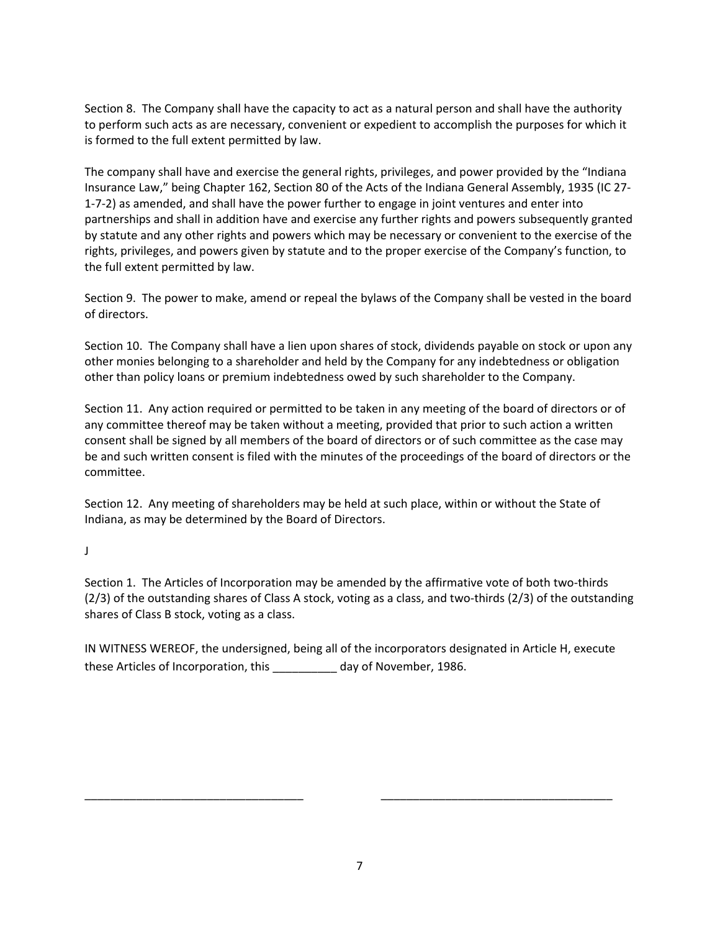Section 8. The Company shall have the capacity to act as a natural person and shall have the authority to perform such acts as are necessary, convenient or expedient to accomplish the purposes for which it is formed to the full extent permitted by law.

The company shall have and exercise the general rights, privileges, and power provided by the "Indiana Insurance Law," being Chapter 162, Section 80 of the Acts of the Indiana General Assembly, 1935 (IC 27‐ 1‐7‐2) as amended, and shall have the power further to engage in joint ventures and enter into partnerships and shall in addition have and exercise any further rights and powers subsequently granted by statute and any other rights and powers which may be necessary or convenient to the exercise of the rights, privileges, and powers given by statute and to the proper exercise of the Company's function, to the full extent permitted by law.

Section 9. The power to make, amend or repeal the bylaws of the Company shall be vested in the board of directors.

Section 10. The Company shall have a lien upon shares of stock, dividends payable on stock or upon any other monies belonging to a shareholder and held by the Company for any indebtedness or obligation other than policy loans or premium indebtedness owed by such shareholder to the Company.

Section 11. Any action required or permitted to be taken in any meeting of the board of directors or of any committee thereof may be taken without a meeting, provided that prior to such action a written consent shall be signed by all members of the board of directors or of such committee as the case may be and such written consent is filed with the minutes of the proceedings of the board of directors or the committee.

Section 12. Any meeting of shareholders may be held at such place, within or without the State of Indiana, as may be determined by the Board of Directors.

J

Section 1. The Articles of Incorporation may be amended by the affirmative vote of both two-thirds (2/3) of the outstanding shares of Class A stock, voting as a class, and two‐thirds (2/3) of the outstanding shares of Class B stock, voting as a class.

IN WITNESS WEREOF, the undersigned, being all of the incorporators designated in Article H, execute these Articles of Incorporation, this \_\_\_\_\_\_\_\_\_\_ day of November, 1986.

\_\_\_\_\_\_\_\_\_\_\_\_\_\_\_\_\_\_\_\_\_\_\_\_\_\_\_\_\_\_\_\_\_\_ \_\_\_\_\_\_\_\_\_\_\_\_\_\_\_\_\_\_\_\_\_\_\_\_\_\_\_\_\_\_\_\_\_\_\_\_